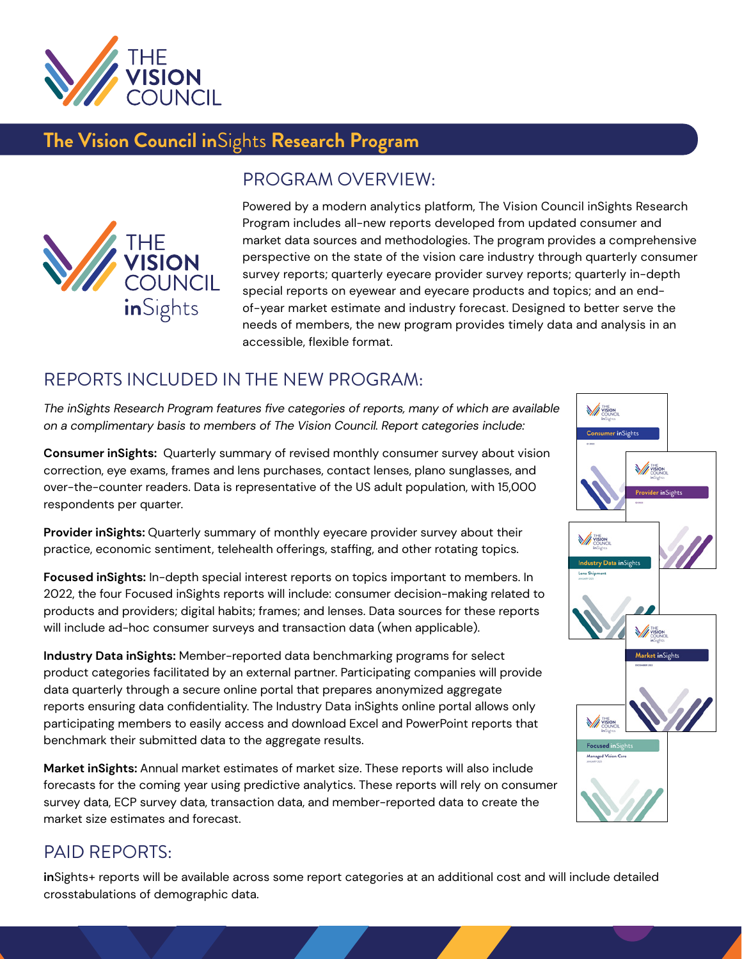

# **The Vision Council in**Sights **Research Program**



#### PROGRAM OVERVIEW:

Powered by a modern analytics platform, The Vision Council inSights Research Program includes all-new reports developed from updated consumer and market data sources and methodologies. The program provides a comprehensive perspective on the state of the vision care industry through quarterly consumer survey reports; quarterly eyecare provider survey reports; quarterly in-depth special reports on eyewear and eyecare products and topics; and an endof-year market estimate and industry forecast. Designed to better serve the needs of members, the new program provides timely data and analysis in an accessible, flexible format.

### REPORTS INCLUDED IN THE NEW PROGRAM:

*The inSights Research Program features five categories of reports, many of which are available on a complimentary basis to members of The Vision Council. Report categories include:*

**Consumer inSights:** Quarterly summary of revised monthly consumer survey about vision correction, eye exams, frames and lens purchases, contact lenses, plano sunglasses, and over-the-counter readers. Data is representative of the US adult population, with 15,000 respondents per quarter.

**Provider inSights:** Quarterly summary of monthly eyecare provider survey about their practice, economic sentiment, telehealth offerings, staffing, and other rotating topics.

**Focused inSights:** In-depth special interest reports on topics important to members. In 2022, the four Focused inSights reports will include: consumer decision-making related to products and providers; digital habits; frames; and lenses. Data sources for these reports will include ad-hoc consumer surveys and transaction data (when applicable).

**Industry Data inSights:** Member-reported data benchmarking programs for select product categories facilitated by an external partner. Participating companies will provide data quarterly through a secure online portal that prepares anonymized aggregate reports ensuring data confidentiality. The Industry Data inSights online portal allows only participating members to easily access and download Excel and PowerPoint reports that benchmark their submitted data to the aggregate results.

**Market inSights:** Annual market estimates of market size. These reports will also include forecasts for the coming year using predictive analytics. These reports will rely on consumer survey data, ECP survey data, transaction data, and member-reported data to create the market size estimates and forecast.

## PAID REPORTS:

**in**Sights+ reports will be available across some report categories at an additional cost and will include detailed crosstabulations of demographic data.